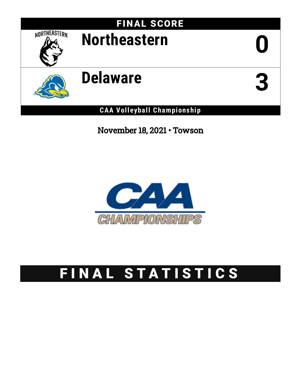

November 18, 2021 • Towson



# FINAL STATISTICS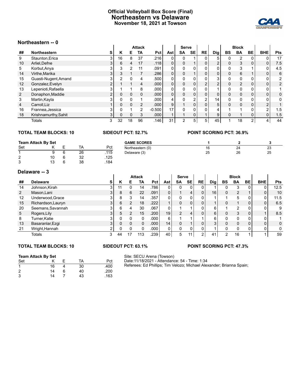### **Official Volleyball Box Score (Final) Northeastern vs Delaware November 18, 2021 at Towson**



### **Northeastern -- 0**

|                | י־ ווסאפטווויטוו     |                |          |    |               |                   |                |                |              |           |                 |              |                |                          |                |                |
|----------------|----------------------|----------------|----------|----|---------------|-------------------|----------------|----------------|--------------|-----------|-----------------|--------------|----------------|--------------------------|----------------|----------------|
|                |                      |                |          |    | <b>Attack</b> |                   |                | Serve          |              |           |                 |              | <b>Block</b>   |                          |                |                |
| ##             | <b>Northeastern</b>  | s              | Κ        | Е  | TA            | Pct I             | Ast            | <b>SA</b>      | <b>SE</b>    | <b>RE</b> | <b>Dig</b>      | <b>BS</b>    | <b>BA</b>      | <b>BE</b>                | <b>BHE</b>     | Pts            |
| 9              | Staunton, Erica      | 3              | 16       | 8  | 37            | .216              | 0              |                |              |           | 5               | 0            |                | 0                        | 0              | 17             |
| 10             | Arliel, Defne        | 31             | 6        | 4  | 17            | .118              | 0              | $\Omega$       |              | 0         | $\overline{2}$  | $\Omega$     | 3              | 0                        | 0              | 7.5            |
| 5              | Korbut, Anya         | 3              | 3        | 2  | 11            | .091              | 0              |                |              |           |                 | $\mathbf{0}$ | 3              |                          | 0              | 4.5            |
| 14             | Virthe, Marika       | 3              | 3        |    |               | .286              | 0              | $\Omega$       |              | 0         | 0               | $\Omega$     | 6              | $\overline{\phantom{a}}$ | 0              | 6              |
| 15             | Guasti-Nugent, Amand | 3              | 2        | U  |               | .500              | 0              |                | 0            |           | 3               | 0            |                | 0                        | 0              | $\overline{2}$ |
| 12             | Gonzalez, Evelyn     | $\overline{2}$ |          |    | 4             | .000              | 0              | $\Omega$       | 0            | C         | $\overline{2}$  | $\Omega$     | $\overline{2}$ | 0                        | 0              | $\overline{2}$ |
| 13             | Lepenioti, Rafaella  | 3              |          |    | 8             | .000              | 0              | $\Omega$       | 0            |           |                 | 0            |                | 0                        | 0              |                |
| $\overline{2}$ | Donaphon, Maddie     | $\overline{2}$ | 0        | 0  |               | .000              | 0              | $\Omega$       | 0            |           | 0               | $\Omega$     |                | 0                        | 0              | 0              |
| 3              | Martin, Kayla        | 3              | 0        | O  |               | .000              | 4              |                | ົ            | C         | 14 <sub>1</sub> | $\Omega$     |                | 0                        | 0              | $\mathbf{0}$   |
| $\overline{4}$ | Carroll.Liz          |                |          | 0  | $\mathcal{P}$ | .000 <sub>1</sub> | 9              |                | $\mathbf{0}$ |           | 5               | $\Omega$     |                | 0                        | $\overline{2}$ |                |
| 16             | Frannea, Jessica     | 3              | 0        |    | 2             | $-0.500$          | 17             | $\Omega$       | 0            |           | 4               |              |                | 0                        | 2              | 1.5            |
| 18             | Krishnamurthy, Sahit | 3 <sup>1</sup> | $\Omega$ | 0  | 3             | .000              | $\overline{ }$ |                | 0            |           | 9               | $\Omega$     |                | 0                        | 0              | 1.5            |
|                | Totals               | 3              | 32       | 18 | 96            | .146              | 31             | $\mathfrak{p}$ | 5            | 5         | 45              |              | 18             | $\overline{2}$           | 4              | 44             |

### **TOTAL TEAM BLOCKS: 10 SIDEOUT PCT: 52.7% POINT SCORING PCT: 36.9%**

### **Team Attack By Set** Set K E TA Pct 1 9 6 26 .115

| $\overline{2}$ | 10 <sup>1</sup> | - 6 | -32 | .125 |
|----------------|-----------------|-----|-----|------|
| 3              | 13              | - 6 | -38 | .184 |

| 16 | 24 | ∩י<br>دے |
|----|----|----------|
| 25 | 26 | 25       |
|    |    |          |

### **Delaware -- 3**

|                | Delaware -- 5      |   |    |          |               |      |     |                |           |                |     |          |                |    |            |            |
|----------------|--------------------|---|----|----------|---------------|------|-----|----------------|-----------|----------------|-----|----------|----------------|----|------------|------------|
|                |                    |   |    |          | <b>Attack</b> |      |     | <b>Serve</b>   |           |                |     |          | <b>Block</b>   |    |            |            |
| ##             | <b>Delaware</b>    | S | К  | Е        | TA            | Pct  | Ast | <b>SA</b>      | <b>SE</b> | <b>RE</b>      | Dig | BS       | <b>BA</b>      | BE | <b>BHE</b> | <b>Pts</b> |
| 14             | Johnson, Kirah     | 3 | 11 |          | 14            | .786 | 0   | 0              | 0         | 0.             |     | 0        | 3              |    | $\Omega$   | 12.5       |
| $\overline{2}$ | Mason, Lani        |   | 8  | 6        | 22            | .091 | 0   |                | 4         | 0 <sub>1</sub> | 16  | $\Omega$ | $\overline{2}$ |    | 0          | 10         |
| 12             | Underwood, Grace   |   | 8  | 3        | 14            | .357 | 0   | $\Omega$       | Ω.        | 0              |     |          | 5              |    | 0          | 11.5       |
| 15             | Richardson, Lauryn |   | 6  |          | 18            | .222 |     | 0              |           | $\mathbf{0}$   |     | $\Omega$ |                |    | 0          | 6.5        |
| 20             | Seemans, Savannah  |   | 6  | 4        | 30            | .067 | 0   |                |           | 0              | 6.  |          | $\overline{2}$ |    | 0          | 9          |
| 5              | Rogers, Lily       |   | 5  | 2        | 15            | .200 | 19  | $\overline{2}$ | 4         | 0              | 6   | $\Omega$ | 3              |    |            | 8.5        |
| 8              | Turner, Katie      |   |    |          | 0             | .000 | 6   |                |           |                | 6   | $\Omega$ | 0              |    | 0          |            |
| 13             | Basaranlar, Ezgi   | 3 | 0  | $\Omega$ | $\Omega$      | .000 | 14  | $\Omega$       |           | 0              | 3   | $\Omega$ | 0              |    | $\Omega$   | $\Omega$   |
| 21             | Wright, Hannah     |   |    |          | 0             | .000 | 0   | 0              |           | 0              |     | $\Omega$ |                |    | 0          |            |
|                | Totals             | 3 | 44 | 17       | 113           | .239 | 40  | 5              | 11        | $\overline{2}$ | 41  | っ        | 16             |    |            | 59         |

### **TOTAL TEAM BLOCKS: 10 SIDEOUT PCT: 63.1% POINT SCORING PCT: 47.3%**

### **Team Attack By Set**

| Set            |    |   | TA | Pct  |
|----------------|----|---|----|------|
| 1              | 16 |   | 30 | .400 |
| $\overline{2}$ | 14 | 6 | 40 | .200 |
| 3              | 14 |   | 43 | .163 |

Site: SECU Arena (Towson) Date:11/18/2021 - Attendance: 54 - Time: 1:34 Referees: Ed Phillips; Tim Velozo; Michael Alexander; Brianna Spain;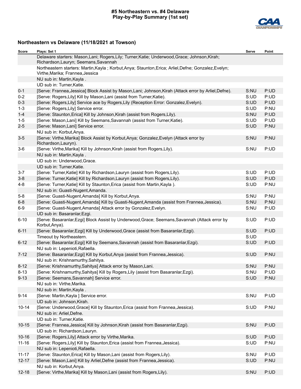### **#5 Northeastern vs. #4 Delaware Play-by-Play Summary (1st set)**



# **Northeastern vs Delaware (11/18/2021 at Towson)**

| Score     | Plays: Set 1                                                                                                                              | Serve | Point |
|-----------|-------------------------------------------------------------------------------------------------------------------------------------------|-------|-------|
|           | Delaware starters: Mason, Lani; Rogers, Lily; Turner, Katie; Underwood, Grace; Johnson, Kirah;<br>Richardson, Lauryn; Seemans, Savannah   |       |       |
|           | Northeastern starters: Martin, Kayla; Korbut, Anya; Staunton, Erica; Arliel, Defne; Gonzalez, Evelyn;<br>Virthe, Marika; Frannea, Jessica |       |       |
|           | NU sub in: Martin, Kayla.                                                                                                                 |       |       |
|           | UD sub in: Turner, Katie.                                                                                                                 |       |       |
| $0 - 1$   | [Serve: Frannea, Jessica] Block Assist by Mason, Lani; Johnson, Kirah (Attack error by Arliel, Defne).                                    | S:NU  | P:UD  |
| $0 - 2$   | [Serve: Rogers, Lily] Kill by Mason, Lani (assist from Turner, Katie).                                                                    | S:UD  | P:UD  |
| $0 - 3$   | [Serve: Rogers, Lily] Service ace by Rogers, Lily (Reception Error: Gonzalez, Evelyn).                                                    | S:UD  | P:UD  |
| $1 - 3$   | [Serve: Rogers, Lily] Service error.                                                                                                      | S:UD  | P:NU  |
| $1 - 4$   | [Serve: Staunton, Erica] Kill by Johnson, Kirah (assist from Rogers, Lily).                                                               | S:NU  | P:UD  |
| $1 - 5$   | [Serve: Mason, Lani] Kill by Seemans, Savannah (assist from Turner, Katie).                                                               | S:UD  | P:UD  |
| $2-5$     | [Serve: Mason, Lani] Service error.                                                                                                       | S:UD  | P:NU  |
|           | NU sub in: Korbut, Anya.                                                                                                                  |       |       |
| $3-5$     | [Serve: Virthe, Marika] Block Assist by Korbut, Anya; Gonzalez, Evelyn (Attack error by<br>Richardson, Lauryn).                           | S:NU  | P:NU  |
| $3-6$     | [Serve: Virthe, Marika] Kill by Johnson, Kirah (assist from Rogers, Lily).                                                                | S:NU  | P:UD  |
|           | NU sub in: Martin, Kayla.                                                                                                                 |       |       |
|           | UD sub in: Underwood, Grace.                                                                                                              |       |       |
|           | UD sub in: Turner, Katie.                                                                                                                 |       |       |
| $3 - 7$   | [Serve: Turner, Katie] Kill by Richardson, Lauryn (assist from Rogers, Lily).                                                             | S:UD  | P:UD  |
| $3-8$     | [Serve: Turner, Katie] Kill by Richardson, Lauryn (assist from Rogers, Lily).                                                             | S:UD  | P:UD  |
| $4 - 8$   | [Serve: Turner, Katie] Kill by Staunton, Erica (assist from Martin, Kayla).                                                               | S:UD  | P:NU  |
|           | NU sub in: Guasti-Nugent, Amanda.                                                                                                         |       |       |
| $5-8$     | [Serve: Guasti-Nugent, Amanda] Kill by Korbut, Anya.                                                                                      | S:NU  | P:NU  |
| $6 - 8$   | [Serve: Guasti-Nugent, Amanda] Kill by Guasti-Nugent, Amanda (assist from Frannea, Jessica).                                              | S:NU  | P:NU  |
| $6-9$     | [Serve: Guasti-Nugent, Amanda] Attack error by Gonzalez, Evelyn.                                                                          | S:NU  | P:UD  |
|           | UD sub in: Basaranlar, Ezgi.                                                                                                              |       |       |
| $6 - 10$  | [Serve: Basaranlar, Ezgi] Block Assist by Underwood, Grace; Seemans, Savannah (Attack error by<br>Korbut, Anya).                          | S:UD  | P:UD  |
| $6 - 11$  | [Serve: Basaranlar, Ezgi] Kill by Underwood, Grace (assist from Basaranlar, Ezgi).                                                        | S:UD  | P:UD  |
|           | Timeout by Northeastern.                                                                                                                  | S:UD  |       |
| $6 - 12$  | [Serve: Basaranlar, Ezgi] Kill by Seemans, Savannah (assist from Basaranlar, Ezgi).                                                       | S:UD  | P:UD  |
|           | NU sub in: Lepenioti, Rafaella.                                                                                                           |       |       |
| $7 - 12$  | [Serve: Basaranlar, Ezgi] Kill by Korbut, Anya (assist from Frannea, Jessica).                                                            | S:UD  | P:NU  |
|           | NU sub in: Krishnamurthy, Sahitya.                                                                                                        |       |       |
| $8 - 12$  | [Serve: Krishnamurthy, Sahitya] Attack error by Mason, Lani.                                                                              | S:NU  | P:NU  |
| $8 - 13$  | [Serve: Krishnamurthy, Sahitya] Kill by Rogers, Lily (assist from Basaranlar, Ezgi).                                                      | S:NU  | P:UD  |
| $9 - 13$  | [Serve: Seemans, Savannah] Service error.                                                                                                 | S:UD  | P:NU  |
|           | NU sub in: Virthe, Marika.                                                                                                                |       |       |
|           | NU sub in: Martin, Kayla.                                                                                                                 |       |       |
| $9 - 14$  | [Serve: Martin, Kayla ] Service error.                                                                                                    | S:NU  | P:UD  |
|           | UD sub in: Johnson, Kirah.                                                                                                                |       |       |
| $10 - 14$ | [Serve: Underwood, Grace] Kill by Staunton, Erica (assist from Frannea, Jessica).                                                         | S:UD  | P:NU  |
|           | NU sub in: Arliel, Defne.                                                                                                                 |       |       |
|           | UD sub in: Turner, Katie.                                                                                                                 |       |       |
| $10 - 15$ | [Serve: Frannea, Jessica] Kill by Johnson, Kirah (assist from Basaranlar, Ezgi).                                                          | S:NU  | P:UD  |
|           | UD sub in: Richardson, Lauryn.                                                                                                            |       |       |
| $10 - 16$ | [Serve: Rogers, Lily] Attack error by Virthe, Marika.                                                                                     | S:UD  | P:UD  |
| $11 - 16$ | [Serve: Rogers, Lily] Kill by Staunton, Erica (assist from Frannea, Jessica).                                                             | S:UD  | P:NU  |
|           | NU sub in: Lepenioti, Rafaella.                                                                                                           |       |       |
| $11 - 17$ | [Serve: Staunton, Erica] Kill by Mason, Lani (assist from Rogers, Lily).                                                                  | S:NU  | P:UD  |
| $12 - 17$ | [Serve: Mason, Lani] Kill by Arliel, Defne (assist from Frannea, Jessica).                                                                | S:UD  | P:NU  |
|           | NU sub in: Korbut, Anya.                                                                                                                  |       |       |
| $12 - 18$ | [Serve: Virthe, Marika] Kill by Mason, Lani (assist from Rogers, Lily).                                                                   | S:NU  | P:UD  |
|           |                                                                                                                                           |       |       |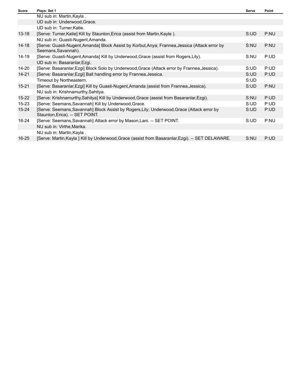| <b>Score</b> | Plays: Set 1                                                                                                                  | Serve | Point |
|--------------|-------------------------------------------------------------------------------------------------------------------------------|-------|-------|
|              | NU sub in: Martin, Kayla .                                                                                                    |       |       |
|              | UD sub in: Underwood, Grace.                                                                                                  |       |       |
|              | UD sub in: Turner, Katie.                                                                                                     |       |       |
| $13 - 18$    | [Serve: Turner, Katie] Kill by Staunton, Erica (assist from Martin, Kayla).                                                   | S:UD  | P:NU  |
|              | NU sub in: Guasti-Nugent, Amanda.                                                                                             |       |       |
| 14-18        | [Serve: Guasti-Nugent, Amanda] Block Assist by Korbut, Anya; Frannea, Jessica (Attack error by<br>Seemans, Savannah).         | S:NU  | P:NU  |
| 14-19        | [Serve: Guasti-Nugent, Amanda] Kill by Underwood, Grace (assist from Rogers, Lily).                                           | S:NU  | P:UD  |
|              | UD sub in: Basaranlar, Ezgi.                                                                                                  |       |       |
| $14 - 20$    | [Serve: Basaranlar, Ezgi] Block Solo by Underwood, Grace (Attack error by Frannea, Jessica).                                  | S:UD  | P:UD  |
| $14 - 21$    | [Serve: Basaranlar, Ezgi] Ball handling error by Frannea, Jessica.                                                            | S:UD  | P:UD  |
|              | Timeout by Northeastern.                                                                                                      | S:UD  |       |
| $15 - 21$    | [Serve: Basaranlar, Ezgi] Kill by Guasti-Nugent, Amanda (assist from Frannea, Jessica).                                       | S:UD  | P:NU  |
|              | NU sub in: Krishnamurthy, Sahitya.                                                                                            |       |       |
| $15 - 22$    | [Serve: Krishnamurthy, Sahitya] Kill by Underwood, Grace (assist from Basaranlar, Ezgi).                                      | S:NU  | P:UD  |
| $15 - 23$    | [Serve: Seemans, Savannah] Kill by Underwood, Grace.                                                                          | S:UD  | P:UD  |
| $15 - 24$    | [Serve: Seemans, Savannah] Block Assist by Rogers, Lily; Underwood, Grace (Attack error by<br>Staunton, Erica). -- SET POINT. | S:UD  | P:UD  |
| 16-24        | [Serve: Seemans, Savannah] Attack error by Mason, Lani. -- SET POINT.                                                         | S:UD  | P:NU  |
|              | NU sub in: Virthe, Marika.                                                                                                    |       |       |
|              | NU sub in: Martin, Kayla.                                                                                                     |       |       |
| $16 - 25$    | [Serve: Martin, Kayla ] Kill by Underwood, Grace (assist from Basaranlar, Ezgi). -- SET DELAWARE.                             | S:NU  | P:UD  |
|              |                                                                                                                               |       |       |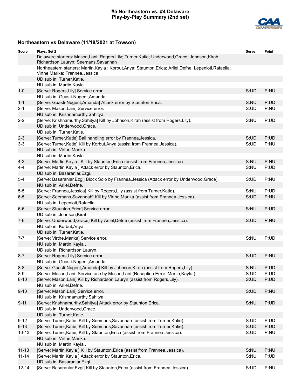### **#5 Northeastern vs. #4 Delaware Play-by-Play Summary (2nd set)**



# **Northeastern vs Delaware (11/18/2021 at Towson)**

| Score     | Plays: Set 2                                                                                                                                 | Serve | Point |
|-----------|----------------------------------------------------------------------------------------------------------------------------------------------|-------|-------|
|           | Delaware starters: Mason, Lani; Rogers, Lily; Turner, Katie; Underwood, Grace; Johnson, Kirah;<br>Richardson, Lauryn; Seemans, Savannah      |       |       |
|           | Northeastern starters: Martin, Kayla; Korbut, Anya; Staunton, Erica; Arliel, Defne; Lepenioti, Rafaella;<br>Virthe, Marika; Frannea, Jessica |       |       |
|           | UD sub in: Turner, Katie.                                                                                                                    |       |       |
|           | NU sub in: Martin, Kayla.                                                                                                                    |       |       |
| $1 - 0$   | [Serve: Rogers, Lily] Service error.                                                                                                         | S:UD  | P:NU  |
|           | NU sub in: Guasti-Nugent, Amanda.                                                                                                            |       |       |
| $1 - 1$   | [Serve: Guasti-Nugent, Amanda] Attack error by Staunton, Erica.                                                                              | S:NU  | P:UD  |
| $2 - 1$   | [Serve: Mason, Lani] Service error.                                                                                                          | S:UD  | P:NU  |
|           | NU sub in: Krishnamurthy, Sahitya.                                                                                                           |       |       |
| $2 - 2$   | [Serve: Krishnamurthy, Sahitya] Kill by Johnson, Kirah (assist from Rogers, Lily).                                                           | S:NU  | P:UD  |
|           | UD sub in: Underwood, Grace.                                                                                                                 |       |       |
|           | UD sub in: Turner, Katie.                                                                                                                    |       |       |
| $2 - 3$   | [Serve: Turner, Katie] Ball handling error by Frannea, Jessica.                                                                              | S:UD  | P:UD  |
| $3 - 3$   | [Serve: Turner, Katie] Kill by Korbut, Anya (assist from Frannea, Jessica).                                                                  | S:UD  | P:NU  |
|           | NU sub in: Virthe, Marika.                                                                                                                   |       |       |
|           | NU sub in: Martin, Kayla.                                                                                                                    |       |       |
| $4 - 3$   | [Serve: Martin, Kayla ] Kill by Staunton, Erica (assist from Frannea, Jessica).                                                              | S:NU  | P:NU  |
| $4 - 4$   | [Serve: Martin, Kayla ] Attack error by Staunton, Erica.                                                                                     | S:NU  | P:UD  |
|           | UD sub in: Basaranlar, Ezgi.                                                                                                                 |       |       |
| $5 - 4$   | [Serve: Basaranlar, Ezgi] Block Solo by Frannea, Jessica (Attack error by Underwood, Grace).<br>NU sub in: Arliel, Defne.                    | S:UD  | P:NU  |
| $5-5$     | [Serve: Frannea, Jessica] Kill by Rogers, Lily (assist from Turner, Katie).                                                                  | S:NU  | P:UD  |
| $6-5$     | [Serve: Seemans, Savannah] Kill by Virthe, Marika (assist from Frannea, Jessica).                                                            | S:UD  | P:NU  |
|           | NU sub in: Lepenioti, Rafaella.                                                                                                              |       |       |
| $6-6$     | [Serve: Staunton, Erica] Service error.                                                                                                      | S:NU  | P:UD  |
|           | UD sub in: Johnson, Kirah.                                                                                                                   |       |       |
| $7-6$     | [Serve: Underwood, Grace] Kill by Arliel, Defne (assist from Frannea, Jessica).                                                              | S:UD  | P:NU  |
|           | NU sub in: Korbut, Anya.                                                                                                                     |       |       |
|           | UD sub in: Turner, Katie.                                                                                                                    |       |       |
| $7 - 7$   | [Serve: Virthe, Marika] Service error.                                                                                                       | S:NU  | P:UD  |
|           | NU sub in: Martin, Kayla.                                                                                                                    |       |       |
|           | UD sub in: Richardson, Lauryn.                                                                                                               |       |       |
| $8 - 7$   | [Serve: Rogers, Lily] Service error.                                                                                                         | S:UD  | P:NU  |
|           | NU sub in: Guasti-Nugent, Amanda.                                                                                                            |       |       |
| $8 - 8$   | [Serve: Guasti-Nugent, Amanda] Kill by Johnson, Kirah (assist from Rogers, Lily).                                                            | S:NU  | P:UD  |
| $8-9$     | [Serve: Mason, Lani] Service ace by Mason, Lani (Reception Error: Martin, Kayla).                                                            | S:UD  | P:UD  |
| $8 - 10$  | [Serve: Mason, Lani] Kill by Richardson, Lauryn (assist from Rogers, Lily).                                                                  | S:UD  | P:UD  |
|           | NU sub in: Arliel, Defne.                                                                                                                    |       |       |
| $9 - 10$  | [Serve: Mason, Lani] Service error.                                                                                                          | S:UD  | P:NU  |
|           | NU sub in: Krishnamurthy, Sahitya.                                                                                                           |       |       |
| $9 - 11$  | [Serve: Krishnamurthy, Sahitya] Attack error by Staunton, Erica.                                                                             | S:NU  | P:UD  |
|           | UD sub in: Underwood, Grace.                                                                                                                 |       |       |
|           | UD sub in: Turner, Katie.                                                                                                                    |       |       |
| $9 - 12$  | [Serve: Turner, Katie] Kill by Seemans, Savannah (assist from Turner, Katie).                                                                | S:UD  | P:UD  |
| $9 - 13$  | [Serve: Turner, Katie] Kill by Seemans, Savannah (assist from Turner, Katie).                                                                | S:UD  | P:UD  |
| $10-13$   | [Serve: Turner, Katie] Kill by Staunton, Erica (assist from Frannea, Jessica).                                                               | S:UD  | P:NU  |
|           | NU sub in: Virthe, Marika.                                                                                                                   |       |       |
|           | NU sub in: Martin, Kayla.                                                                                                                    |       |       |
| $11 - 13$ | [Serve: Martin, Kayla ] Kill by Staunton, Erica (assist from Frannea, Jessica).                                                              | S:NU  | P:NU  |
| $11 - 14$ | [Serve: Martin, Kayla ] Attack error by Staunton, Erica.                                                                                     | S:NU  | P:UD  |
|           | UD sub in: Basaranlar, Ezgi.                                                                                                                 |       |       |
| 12-14     | [Serve: Basaranlar, Ezgi] Kill by Staunton, Erica (assist from Frannea, Jessica).                                                            | S:UD  | P:NU  |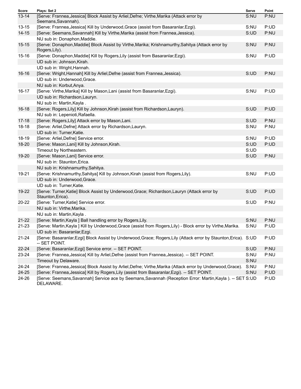| Score     | Plays: Set 2                                                                                                                       | Serve | Point |
|-----------|------------------------------------------------------------------------------------------------------------------------------------|-------|-------|
| $13 - 14$ | [Serve: Frannea, Jessica] Block Assist by Arliel, Defne; Virthe, Marika (Attack error by<br>Seemans, Savannah).                    | S:NU  | P:NU  |
| $13 - 15$ | [Serve: Frannea, Jessica] Kill by Underwood, Grace (assist from Basaranlar, Ezgi).                                                 | S:NU  | P:UD  |
| $14 - 15$ | [Serve: Seemans, Savannah] Kill by Virthe, Marika (assist from Frannea, Jessica).                                                  | S:UD  | P:NU  |
|           | NU sub in: Donaphon, Maddie.                                                                                                       |       |       |
| $15 - 15$ | [Serve: Donaphon, Maddie] Block Assist by Virthe, Marika; Krishnamurthy, Sahitya (Attack error by<br>Rogers, Lily).                | S:NU  | P:NU  |
| $15 - 16$ | [Serve: Donaphon, Maddie] Kill by Rogers, Lily (assist from Basaranlar, Ezgi).                                                     | S:NU  | P:UD  |
|           | UD sub in: Johnson, Kirah.                                                                                                         |       |       |
|           | UD sub in: Wright, Hannah.                                                                                                         |       |       |
| $16 - 16$ | [Serve: Wright, Hannah] Kill by Arliel, Defne (assist from Frannea, Jessica).                                                      | S:UD  | P:NU  |
|           | UD sub in: Underwood, Grace.                                                                                                       |       |       |
|           | NU sub in: Korbut, Anya.                                                                                                           |       |       |
| $16 - 17$ | [Serve: Virthe, Marika] Kill by Mason, Lani (assist from Basaranlar, Ezgi).                                                        | S:NU  | P:UD  |
|           | UD sub in: Richardson, Lauryn.                                                                                                     |       |       |
|           | NU sub in: Martin, Kayla.                                                                                                          |       |       |
| $16 - 18$ | [Serve: Rogers, Lily] Kill by Johnson, Kirah (assist from Richardson, Lauryn).                                                     | S:UD  | P:UD  |
|           | NU sub in: Lepenioti, Rafaella.                                                                                                    |       |       |
| $17 - 18$ | [Serve: Rogers, Lily] Attack error by Mason, Lani.                                                                                 | S:UD  | P:NU  |
| 18-18     | [Serve: Arliel, Defne] Attack error by Richardson, Lauryn.                                                                         | S:NU  | P:NU  |
|           | UD sub in: Turner, Katie.                                                                                                          |       |       |
| 18-19     | [Serve: Arliel, Defne] Service error.                                                                                              | S:NU  | P:UD  |
| 18-20     | [Serve: Mason, Lani] Kill by Johnson, Kirah.                                                                                       | S:UD  | P:UD  |
|           | Timeout by Northeastern.                                                                                                           | S:UD  |       |
| 19-20     | [Serve: Mason, Lani] Service error.                                                                                                | S:UD  | P:NU  |
|           | NU sub in: Staunton, Erica.                                                                                                        |       |       |
|           | NU sub in: Krishnamurthy, Sahitya.                                                                                                 |       |       |
| 19-21     | [Serve: Krishnamurthy, Sahitya] Kill by Johnson, Kirah (assist from Rogers, Lily).                                                 | S:NU  | P:UD  |
|           | UD sub in: Underwood, Grace.                                                                                                       |       |       |
|           | UD sub in: Turner, Katie.                                                                                                          |       |       |
| 19-22     | [Serve: Turner, Katie] Block Assist by Underwood, Grace; Richardson, Lauryn (Attack error by                                       | S:UD  | P:UD  |
|           | Staunton, Erica).                                                                                                                  |       |       |
| 20-22     | [Serve: Turner, Katie] Service error.                                                                                              | S:UD  | P:NU  |
|           | NU sub in: Virthe, Marika.                                                                                                         |       |       |
|           | NU sub in: Martin, Kayla.                                                                                                          |       |       |
| $21 - 22$ | [Serve: Martin, Kayla ] Ball handling error by Rogers, Lily.                                                                       | S:NU  | P:NU  |
| 21-23     | [Serve: Martin,Kayla ] Kill by Underwood,Grace (assist from Rogers,Lily) - Block error by Virthe,Marika.                           | S:NU  | P:UD  |
|           | UD sub in: Basaranlar, Ezgi.                                                                                                       |       |       |
| 21-24     | [Serve: Basaranlar, Ezgi] Block Assist by Underwood, Grace; Rogers, Lily (Attack error by Staunton, Erica). S: UD<br>-- SET POINT. |       | P:UD  |
| 22-24     | [Serve: Basaranlar, Ezgi] Service error. -- SET POINT.                                                                             | S:UD  | P:NU  |
| 23-24     | [Serve: Frannea, Jessica] Kill by Arliel, Defne (assist from Frannea, Jessica). -- SET POINT.                                      | S:NU  | P:NU  |
|           | Timeout by Delaware.                                                                                                               | S:NU  |       |
| 24-24     | [Serve: Frannea, Jessica] Block Assist by Arliel, Defne; Virthe, Marika (Attack error by Underwood, Grace).                        | S:NU  | P:NU  |
| 24-25     | [Serve: Frannea, Jessica] Kill by Rogers, Lily (assist from Basaranlar, Ezgi). -- SET POINT.                                       | S:NU  | P:UD  |
| 24-26     | [Serve: Seemans, Savannah] Service ace by Seemans, Savannah (Reception Error: Martin, Kayla). -- SET S: UD<br>DELAWARE.            |       | P:UD  |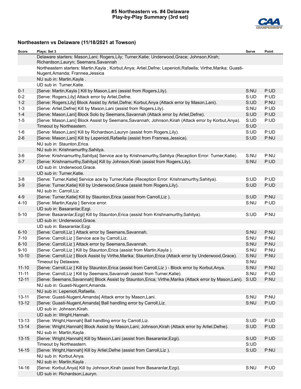### **#5 Northeastern vs. #4 Delaware Play-by-Play Summary (3rd set)**



# **Northeastern vs Delaware (11/18/2021 at Towson)**

| Score     | Plays: Set 3                                                                                                                                        | Serve | Point |
|-----------|-----------------------------------------------------------------------------------------------------------------------------------------------------|-------|-------|
|           | Delaware starters: Mason, Lani; Rogers, Lily; Turner, Katie; Underwood, Grace; Johnson, Kirah;<br>Richardson, Lauryn; Seemans, Savannah             |       |       |
|           | Northeastern starters: Martin, Kayla; Korbut, Anya; Arliel, Defne; Lepenioti, Rafaella; Virthe, Marika; Guasti-<br>Nugent, Amanda; Frannea, Jessica |       |       |
|           | NU sub in: Martin, Kayla.                                                                                                                           |       |       |
|           | UD sub in: Turner, Katie.                                                                                                                           |       |       |
| $0 - 1$   | [Serve: Martin, Kayla ] Kill by Mason, Lani (assist from Rogers, Lily).                                                                             | S:NU  | P:UD  |
| $0-2$     | [Serve: Rogers, Lily] Attack error by Arliel, Defne.                                                                                                | S:UD  | P:UD  |
| $1 - 2$   | [Serve: Rogers, Lily] Block Assist by Arliel, Defne; Korbut, Anya (Attack error by Mason, Lani).                                                    | S:UD  | P:NU  |
| $1 - 3$   | [Serve: Arliel, Defne] Kill by Mason, Lani (assist from Rogers, Lily).                                                                              | S:NU  | P:UD  |
| $1 - 4$   | [Serve: Mason, Lani] Block Solo by Seemans, Savannah (Attack error by Arliel, Defne).                                                               | S:UD  | P:UD  |
| $1 - 5$   | [Serve: Mason, Lani] Block Assist by Seemans, Savannah; Johnson, Kirah (Attack error by Korbut, Anya).                                              | S:UD  | P:UD  |
|           | Timeout by Northeastern.                                                                                                                            | S:UD  |       |
| $1 - 6$   | [Serve: Mason, Lani] Kill by Richardson, Lauryn (assist from Rogers, Lily).                                                                         | S:UD  | P:UD  |
| $2 - 6$   | [Serve: Mason, Lani] Kill by Lepenioti, Rafaella (assist from Frannea, Jessica).                                                                    | S:UD  | P:NU  |
|           | NU sub in: Staunton, Erica.                                                                                                                         |       |       |
|           | NU sub in: Krishnamurthy, Sahitya.                                                                                                                  |       |       |
| $3-6$     | [Serve: Krishnamurthy, Sahitya] Service ace by Krishnamurthy, Sahitya (Reception Error: Turner, Katie).                                             | S:NU  | P:NU  |
| $3 - 7$   | [Serve: Krishnamurthy, Sahitya] Kill by Johnson, Kirah (assist from Rogers, Lily).                                                                  | S:NU  | P:UD  |
|           | UD sub in: Underwood, Grace.                                                                                                                        |       |       |
|           | UD sub in: Turner, Katie.                                                                                                                           |       |       |
| $3-8$     | [Serve: Turner, Katie] Service ace by Turner, Katie (Reception Error: Krishnamurthy, Sahitya).                                                      | S:UD  | P:UD  |
| $3-9$     | [Serve: Turner, Katie] Kill by Underwood, Grace (assist from Rogers, Lily).                                                                         | S:UD  | P:UD  |
|           | NU sub in: Carroll, Liz.                                                                                                                            |       |       |
| $4-9$     | [Serve: Turner, Katie] Kill by Staunton, Erica (assist from Carroll, Liz).                                                                          | S:UD  | P:NU  |
| $4 - 10$  | [Serve: Martin, Kayla ] Service error.                                                                                                              | S:NU  | P:UD  |
|           | UD sub in: Basaranlar, Ezgi.                                                                                                                        |       |       |
| $5 - 10$  | [Serve: Basaranlar, Ezgi] Kill by Staunton, Erica (assist from Krishnamurthy, Sahitya).                                                             | S:UD  | P:NU  |
|           | UD sub in: Underwood, Grace.                                                                                                                        |       |       |
|           | UD sub in: Basaranlar, Ezgi.                                                                                                                        |       |       |
| $6 - 10$  | [Serve: Carroll, Liz ] Attack error by Seemans, Savannah.                                                                                           | S:NU  | P:NU  |
| $7 - 10$  | [Serve: Carroll, Liz ] Service ace by Carroll, Liz.                                                                                                 | S:NU  | P:NU  |
| $8 - 10$  | [Serve: Carroll, Liz ] Attack error by Seemans, Savannah.                                                                                           | S:NU  | P:NU  |
| $9 - 10$  | [Serve: Carroll, Liz ] Kill by Staunton, Erica (assist from Martin, Kayla).                                                                         | S:NU  | P:NU  |
| $10 - 10$ | [Serve: Carroll, Liz ] Block Assist by Virthe, Marika; Staunton, Erica (Attack error by Underwood, Grace).                                          | S:NU  | P:NU  |
|           | Timeout by Delaware.                                                                                                                                | S:NU  |       |
| $11 - 10$ | [Serve: Carroll, Liz ] Kill by Staunton, Erica (assist from Carroll, Liz) - Block error by Korbut, Anya.                                            | S:NU  | P:NU  |
| $11 - 11$ | [Serve: Carroll, Liz ] Kill by Seemans, Savannah (assist from Turner, Katie).                                                                       | S:NU  | P:UD  |
| $12 - 11$ | [Serve: Seemans, Savannah] Block Assist by Staunton, Erica; Virthe, Marika (Attack error by Mason, Lani). S: UD                                     |       | P:NU  |
|           | NU sub in: Guasti-Nugent, Amanda.                                                                                                                   |       |       |
|           | NU sub in: Lepenioti, Rafaella.                                                                                                                     |       |       |
| $13 - 11$ | [Serve: Guasti-Nugent, Amanda] Attack error by Mason, Lani.                                                                                         | S:NU  | P:NU  |
| $13 - 12$ | [Serve: Guasti-Nugent, Amanda] Ball handling error by Carroll, Liz.                                                                                 | S:NU  | P:UD  |
|           | UD sub in: Johnson, Kirah.                                                                                                                          |       |       |
|           | UD sub in: Wright, Hannah.                                                                                                                          |       |       |
| $13 - 13$ | [Serve: Wright, Hannah] Ball handling error by Carroll, Liz.                                                                                        | S:UD  | P:UD  |
| $13 - 14$ | [Serve: Wright, Hannah] Block Assist by Mason, Lani; Johnson, Kirah (Attack error by Arliel, Defne).                                                | S:UD  | P:UD  |
|           | NU sub in: Martin, Kayla.                                                                                                                           |       |       |
| $13 - 15$ | [Serve: Wright, Hannah] Kill by Mason, Lani (assist from Basaranlar, Ezgi).                                                                         | S:UD  | P:UD  |
|           | Timeout by Northeastern.                                                                                                                            | S:UD  |       |
| $14 - 15$ | [Serve: Wright, Hannah] Kill by Arliel, Defne (assist from Carroll, Liz).                                                                           | S:UD  | P:NU  |
|           | NU sub in: Korbut, Anya.                                                                                                                            |       |       |
|           | NU sub in: Martin, Kayla.                                                                                                                           |       |       |
| $14 - 16$ | [Serve: Korbut, Anya] Kill by Johnson, Kirah (assist from Basaranlar, Ezgi).                                                                        | S:NU  | P:UD  |
|           | UD sub in: Richardson, Lauryn.                                                                                                                      |       |       |